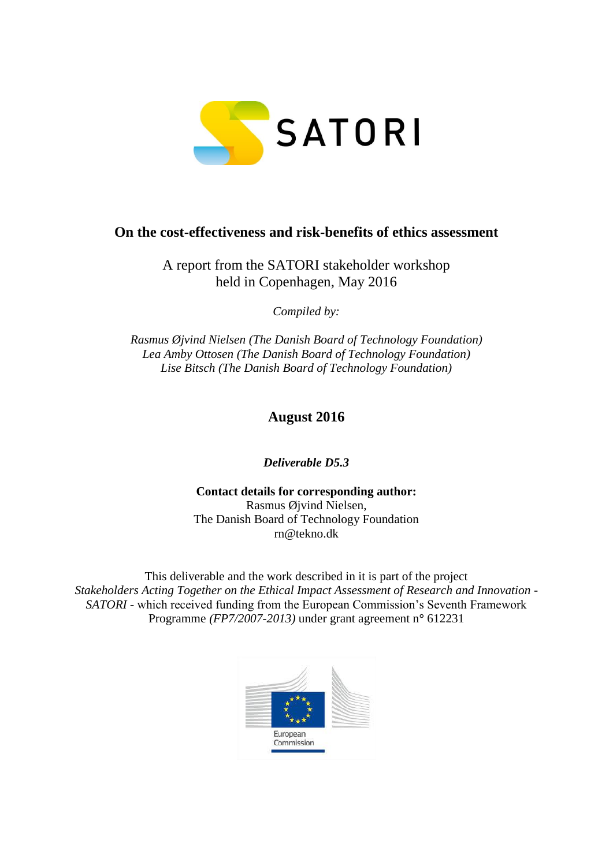

# **On the cost-effectiveness and risk-benefits of ethics assessment**

A report from the SATORI stakeholder workshop held in Copenhagen, May 2016

*Compiled by:*

*Rasmus Øjvind Nielsen (The Danish Board of Technology Foundation) Lea Amby Ottosen (The Danish Board of Technology Foundation) Lise Bitsch (The Danish Board of Technology Foundation)*

**August 2016**

*Deliverable D5.3*

**Contact details for corresponding author:**  Rasmus Øjvind Nielsen, The Danish Board of Technology Foundation rn@tekno.dk

This deliverable and the work described in it is part of the project *Stakeholders Acting Together on the Ethical Impact Assessment of Research and Innovation - SATORI* - which received funding from the European Commission's Seventh Framework Programme *(FP7/2007-2013)* under grant agreement n**°** 612231

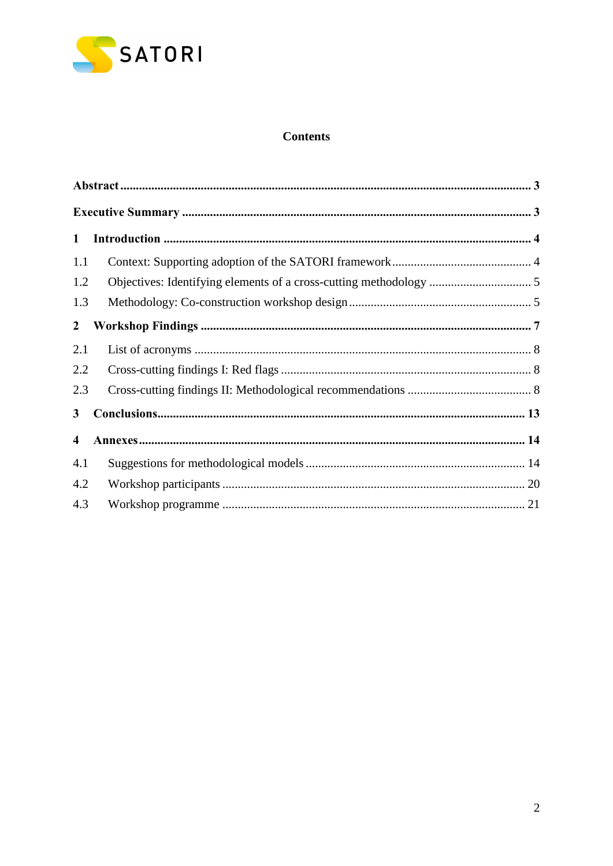

## **Contents**

| $\mathbf{1}$            |  |
|-------------------------|--|
| 1.1                     |  |
| 1.2                     |  |
| 1.3                     |  |
| $\overline{2}$          |  |
| 2.1                     |  |
| 2.2                     |  |
| 2.3                     |  |
| 3                       |  |
| $\overline{\mathbf{4}}$ |  |
| 4.1                     |  |
| 4.2                     |  |
| 4.3                     |  |
|                         |  |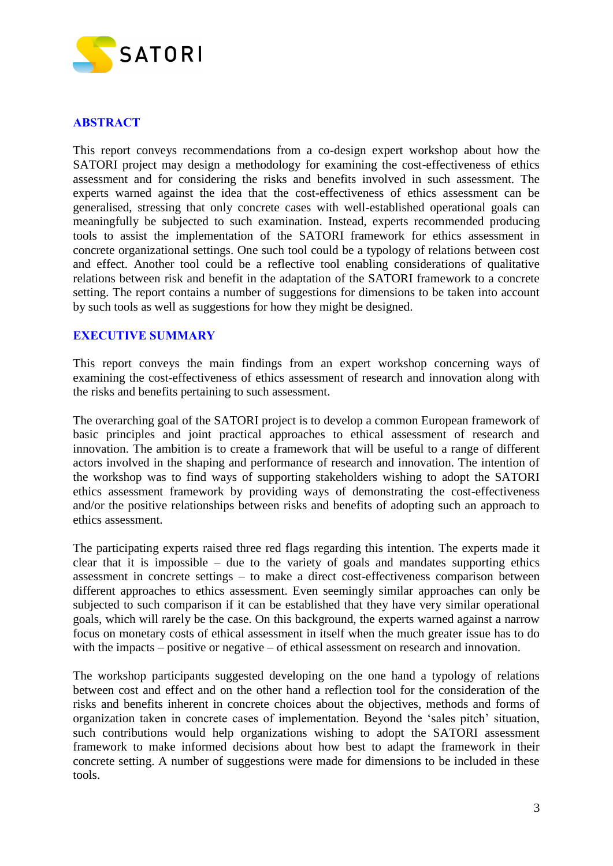

## <span id="page-2-0"></span>**ABSTRACT**

This report conveys recommendations from a co-design expert workshop about how the SATORI project may design a methodology for examining the cost-effectiveness of ethics assessment and for considering the risks and benefits involved in such assessment. The experts warned against the idea that the cost-effectiveness of ethics assessment can be generalised, stressing that only concrete cases with well-established operational goals can meaningfully be subjected to such examination. Instead, experts recommended producing tools to assist the implementation of the SATORI framework for ethics assessment in concrete organizational settings. One such tool could be a typology of relations between cost and effect. Another tool could be a reflective tool enabling considerations of qualitative relations between risk and benefit in the adaptation of the SATORI framework to a concrete setting. The report contains a number of suggestions for dimensions to be taken into account by such tools as well as suggestions for how they might be designed.

#### <span id="page-2-1"></span>**EXECUTIVE SUMMARY**

This report conveys the main findings from an expert workshop concerning ways of examining the cost-effectiveness of ethics assessment of research and innovation along with the risks and benefits pertaining to such assessment.

The overarching goal of the SATORI project is to develop a common European framework of basic principles and joint practical approaches to ethical assessment of research and innovation. The ambition is to create a framework that will be useful to a range of different actors involved in the shaping and performance of research and innovation. The intention of the workshop was to find ways of supporting stakeholders wishing to adopt the SATORI ethics assessment framework by providing ways of demonstrating the cost-effectiveness and/or the positive relationships between risks and benefits of adopting such an approach to ethics assessment.

The participating experts raised three red flags regarding this intention. The experts made it clear that it is impossible – due to the variety of goals and mandates supporting ethics assessment in concrete settings – to make a direct cost-effectiveness comparison between different approaches to ethics assessment. Even seemingly similar approaches can only be subjected to such comparison if it can be established that they have very similar operational goals, which will rarely be the case. On this background, the experts warned against a narrow focus on monetary costs of ethical assessment in itself when the much greater issue has to do with the impacts – positive or negative – of ethical assessment on research and innovation.

The workshop participants suggested developing on the one hand a typology of relations between cost and effect and on the other hand a reflection tool for the consideration of the risks and benefits inherent in concrete choices about the objectives, methods and forms of organization taken in concrete cases of implementation. Beyond the 'sales pitch' situation, such contributions would help organizations wishing to adopt the SATORI assessment framework to make informed decisions about how best to adapt the framework in their concrete setting. A number of suggestions were made for dimensions to be included in these tools.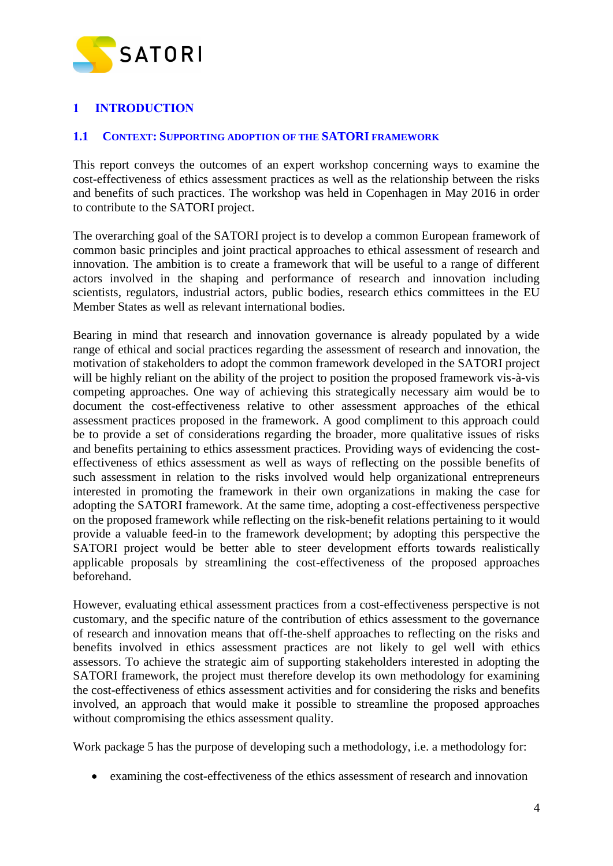

# <span id="page-3-0"></span>**1 INTRODUCTION**

#### <span id="page-3-1"></span>**1.1 CONTEXT: SUPPORTING ADOPTION OF THE SATORI FRAMEWORK**

This report conveys the outcomes of an expert workshop concerning ways to examine the cost-effectiveness of ethics assessment practices as well as the relationship between the risks and benefits of such practices. The workshop was held in Copenhagen in May 2016 in order to contribute to the SATORI project.

The overarching goal of the SATORI project is to develop a common European framework of common basic principles and joint practical approaches to ethical assessment of research and innovation. The ambition is to create a framework that will be useful to a range of different actors involved in the shaping and performance of research and innovation including scientists, regulators, industrial actors, public bodies, research ethics committees in the EU Member States as well as relevant international bodies.

Bearing in mind that research and innovation governance is already populated by a wide range of ethical and social practices regarding the assessment of research and innovation, the motivation of stakeholders to adopt the common framework developed in the SATORI project will be highly reliant on the ability of the project to position the proposed framework vis-à-vis competing approaches. One way of achieving this strategically necessary aim would be to document the cost-effectiveness relative to other assessment approaches of the ethical assessment practices proposed in the framework. A good compliment to this approach could be to provide a set of considerations regarding the broader, more qualitative issues of risks and benefits pertaining to ethics assessment practices. Providing ways of evidencing the costeffectiveness of ethics assessment as well as ways of reflecting on the possible benefits of such assessment in relation to the risks involved would help organizational entrepreneurs interested in promoting the framework in their own organizations in making the case for adopting the SATORI framework. At the same time, adopting a cost-effectiveness perspective on the proposed framework while reflecting on the risk-benefit relations pertaining to it would provide a valuable feed-in to the framework development; by adopting this perspective the SATORI project would be better able to steer development efforts towards realistically applicable proposals by streamlining the cost-effectiveness of the proposed approaches beforehand.

However, evaluating ethical assessment practices from a cost-effectiveness perspective is not customary, and the specific nature of the contribution of ethics assessment to the governance of research and innovation means that off-the-shelf approaches to reflecting on the risks and benefits involved in ethics assessment practices are not likely to gel well with ethics assessors. To achieve the strategic aim of supporting stakeholders interested in adopting the SATORI framework, the project must therefore develop its own methodology for examining the cost-effectiveness of ethics assessment activities and for considering the risks and benefits involved, an approach that would make it possible to streamline the proposed approaches without compromising the ethics assessment quality.

Work package 5 has the purpose of developing such a methodology, i.e. a methodology for:

examining the cost-effectiveness of the ethics assessment of research and innovation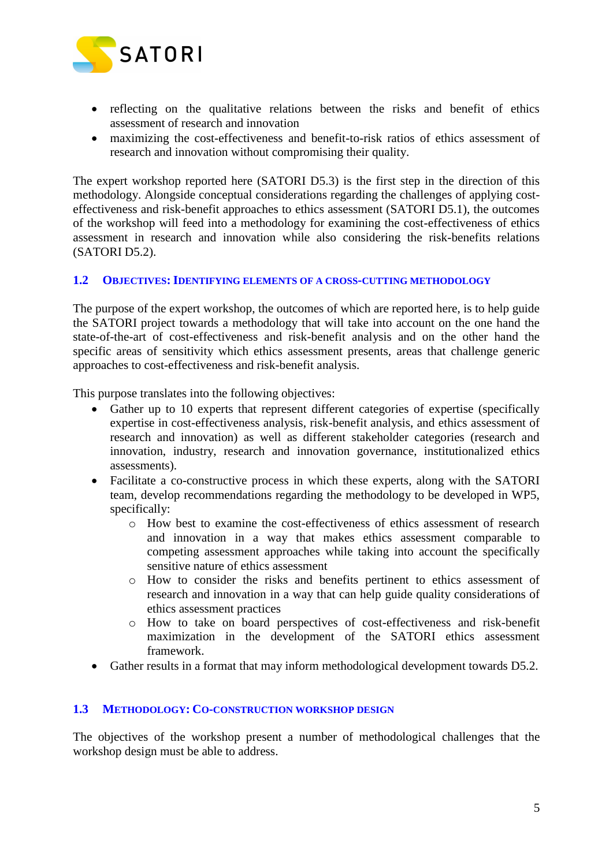

- reflecting on the qualitative relations between the risks and benefit of ethics assessment of research and innovation
- maximizing the cost-effectiveness and benefit-to-risk ratios of ethics assessment of research and innovation without compromising their quality.

The expert workshop reported here (SATORI D5.3) is the first step in the direction of this methodology. Alongside conceptual considerations regarding the challenges of applying costeffectiveness and risk-benefit approaches to ethics assessment (SATORI D5.1), the outcomes of the workshop will feed into a methodology for examining the cost-effectiveness of ethics assessment in research and innovation while also considering the risk-benefits relations (SATORI D5.2).

#### <span id="page-4-0"></span>**1.2 OBJECTIVES: IDENTIFYING ELEMENTS OF A CROSS-CUTTING METHODOLOGY**

The purpose of the expert workshop, the outcomes of which are reported here, is to help guide the SATORI project towards a methodology that will take into account on the one hand the state-of-the-art of cost-effectiveness and risk-benefit analysis and on the other hand the specific areas of sensitivity which ethics assessment presents, areas that challenge generic approaches to cost-effectiveness and risk-benefit analysis.

This purpose translates into the following objectives:

- Gather up to 10 experts that represent different categories of expertise (specifically expertise in cost-effectiveness analysis, risk-benefit analysis, and ethics assessment of research and innovation) as well as different stakeholder categories (research and innovation, industry, research and innovation governance, institutionalized ethics assessments).
- Facilitate a co-constructive process in which these experts, along with the SATORI team, develop recommendations regarding the methodology to be developed in WP5, specifically:
	- o How best to examine the cost-effectiveness of ethics assessment of research and innovation in a way that makes ethics assessment comparable to competing assessment approaches while taking into account the specifically sensitive nature of ethics assessment
	- o How to consider the risks and benefits pertinent to ethics assessment of research and innovation in a way that can help guide quality considerations of ethics assessment practices
	- o How to take on board perspectives of cost-effectiveness and risk-benefit maximization in the development of the SATORI ethics assessment framework.
- Gather results in a format that may inform methodological development towards D5.2.

#### <span id="page-4-1"></span>**1.3 METHODOLOGY: CO-CONSTRUCTION WORKSHOP DESIGN**

The objectives of the workshop present a number of methodological challenges that the workshop design must be able to address.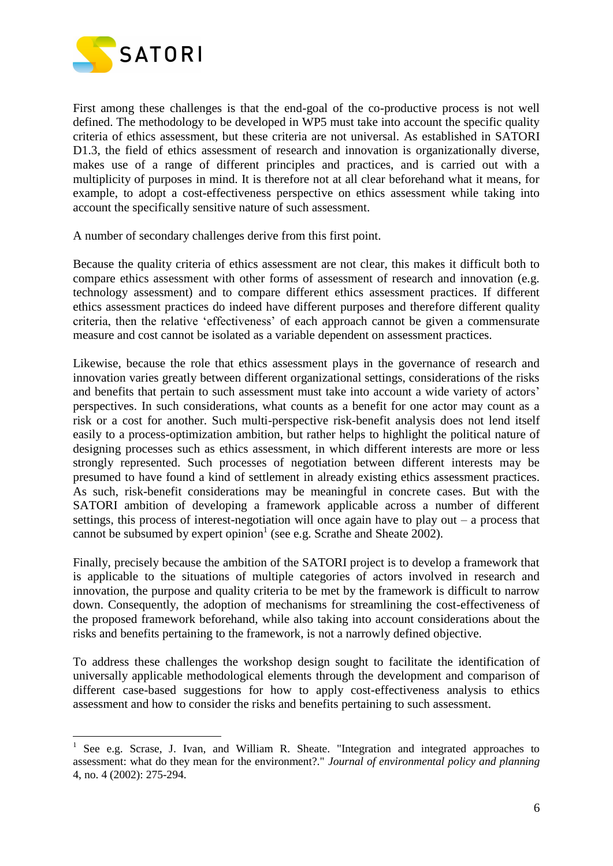

 $\overline{a}$ 

First among these challenges is that the end-goal of the co-productive process is not well defined. The methodology to be developed in WP5 must take into account the specific quality criteria of ethics assessment, but these criteria are not universal. As established in SATORI D1.3, the field of ethics assessment of research and innovation is organizationally diverse, makes use of a range of different principles and practices, and is carried out with a multiplicity of purposes in mind. It is therefore not at all clear beforehand what it means, for example, to adopt a cost-effectiveness perspective on ethics assessment while taking into account the specifically sensitive nature of such assessment.

A number of secondary challenges derive from this first point.

Because the quality criteria of ethics assessment are not clear, this makes it difficult both to compare ethics assessment with other forms of assessment of research and innovation (e.g. technology assessment) and to compare different ethics assessment practices. If different ethics assessment practices do indeed have different purposes and therefore different quality criteria, then the relative 'effectiveness' of each approach cannot be given a commensurate measure and cost cannot be isolated as a variable dependent on assessment practices.

Likewise, because the role that ethics assessment plays in the governance of research and innovation varies greatly between different organizational settings, considerations of the risks and benefits that pertain to such assessment must take into account a wide variety of actors' perspectives. In such considerations, what counts as a benefit for one actor may count as a risk or a cost for another. Such multi-perspective risk-benefit analysis does not lend itself easily to a process-optimization ambition, but rather helps to highlight the political nature of designing processes such as ethics assessment, in which different interests are more or less strongly represented. Such processes of negotiation between different interests may be presumed to have found a kind of settlement in already existing ethics assessment practices. As such, risk-benefit considerations may be meaningful in concrete cases. But with the SATORI ambition of developing a framework applicable across a number of different settings, this process of interest-negotiation will once again have to play out – a process that cannot be subsumed by expert opinion<sup>1</sup> (see e.g. Scrathe and Sheate 2002).

Finally, precisely because the ambition of the SATORI project is to develop a framework that is applicable to the situations of multiple categories of actors involved in research and innovation, the purpose and quality criteria to be met by the framework is difficult to narrow down. Consequently, the adoption of mechanisms for streamlining the cost-effectiveness of the proposed framework beforehand, while also taking into account considerations about the risks and benefits pertaining to the framework, is not a narrowly defined objective.

To address these challenges the workshop design sought to facilitate the identification of universally applicable methodological elements through the development and comparison of different case-based suggestions for how to apply cost-effectiveness analysis to ethics assessment and how to consider the risks and benefits pertaining to such assessment.

<sup>&</sup>lt;sup>1</sup> See e.g. Scrase, J. Ivan, and William R. Sheate. "Integration and integrated approaches to assessment: what do they mean for the environment?." *Journal of environmental policy and planning* 4, no. 4 (2002): 275-294.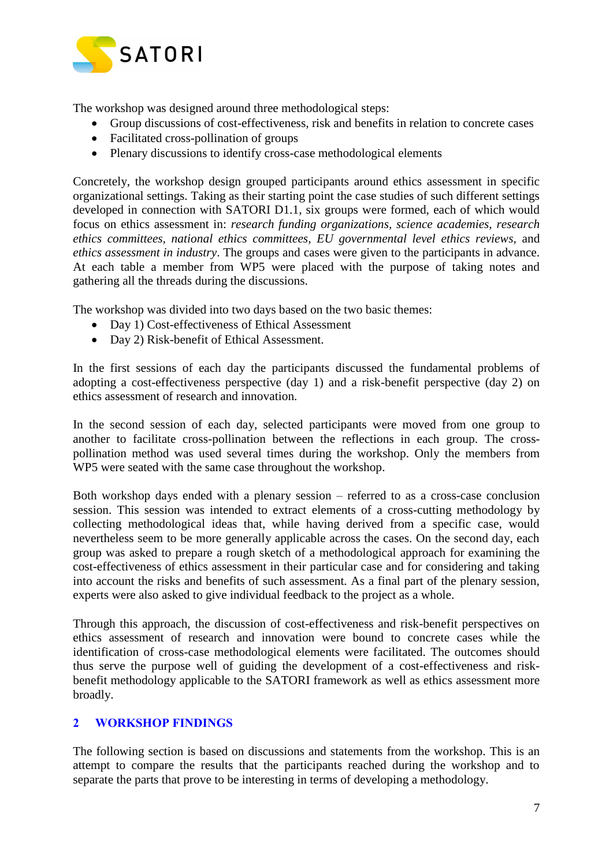

The workshop was designed around three methodological steps:

- Group discussions of cost-effectiveness, risk and benefits in relation to concrete cases
- Facilitated cross-pollination of groups
- Plenary discussions to identify cross-case methodological elements

Concretely, the workshop design grouped participants around ethics assessment in specific organizational settings. Taking as their starting point the case studies of such different settings developed in connection with SATORI D1.1, six groups were formed, each of which would focus on ethics assessment in: *research funding organizations, science academies, research ethics committees, national ethics committees, EU governmental level ethics reviews,* and *ethics assessment in industry*. The groups and cases were given to the participants in advance. At each table a member from WP5 were placed with the purpose of taking notes and gathering all the threads during the discussions.

The workshop was divided into two days based on the two basic themes:

- Day 1) Cost-effectiveness of Ethical Assessment
- Day 2) Risk-benefit of Ethical Assessment.

In the first sessions of each day the participants discussed the fundamental problems of adopting a cost-effectiveness perspective (day 1) and a risk-benefit perspective (day 2) on ethics assessment of research and innovation.

In the second session of each day, selected participants were moved from one group to another to facilitate cross-pollination between the reflections in each group. The crosspollination method was used several times during the workshop. Only the members from WP5 were seated with the same case throughout the workshop.

Both workshop days ended with a plenary session – referred to as a cross-case conclusion session. This session was intended to extract elements of a cross-cutting methodology by collecting methodological ideas that, while having derived from a specific case, would nevertheless seem to be more generally applicable across the cases. On the second day, each group was asked to prepare a rough sketch of a methodological approach for examining the cost-effectiveness of ethics assessment in their particular case and for considering and taking into account the risks and benefits of such assessment. As a final part of the plenary session, experts were also asked to give individual feedback to the project as a whole.

Through this approach, the discussion of cost-effectiveness and risk-benefit perspectives on ethics assessment of research and innovation were bound to concrete cases while the identification of cross-case methodological elements were facilitated. The outcomes should thus serve the purpose well of guiding the development of a cost-effectiveness and riskbenefit methodology applicable to the SATORI framework as well as ethics assessment more broadly.

## <span id="page-6-0"></span>**2 WORKSHOP FINDINGS**

The following section is based on discussions and statements from the workshop. This is an attempt to compare the results that the participants reached during the workshop and to separate the parts that prove to be interesting in terms of developing a methodology.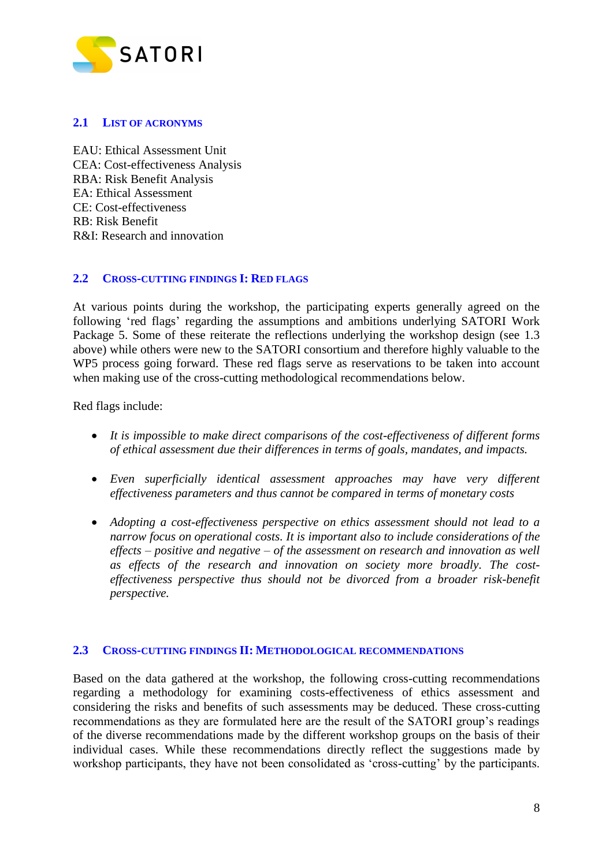

#### <span id="page-7-0"></span>**2.1 LIST OF ACRONYMS**

EAU: Ethical Assessment Unit CEA: Cost-effectiveness Analysis RBA: Risk Benefit Analysis EA: Ethical Assessment CE: Cost-effectiveness RB: Risk Benefit R&I: Research and innovation

#### <span id="page-7-1"></span>**2.2 CROSS-CUTTING FINDINGS I: RED FLAGS**

At various points during the workshop, the participating experts generally agreed on the following 'red flags' regarding the assumptions and ambitions underlying SATORI Work Package 5. Some of these reiterate the reflections underlying the workshop design (see 1.3 above) while others were new to the SATORI consortium and therefore highly valuable to the WP5 process going forward. These red flags serve as reservations to be taken into account when making use of the cross-cutting methodological recommendations below.

Red flags include:

- *It is impossible to make direct comparisons of the cost-effectiveness of different forms of ethical assessment due their differences in terms of goals, mandates, and impacts.*
- *Even superficially identical assessment approaches may have very different effectiveness parameters and thus cannot be compared in terms of monetary costs*
- *Adopting a cost-effectiveness perspective on ethics assessment should not lead to a narrow focus on operational costs. It is important also to include considerations of the effects – positive and negative – of the assessment on research and innovation as well as effects of the research and innovation on society more broadly. The costeffectiveness perspective thus should not be divorced from a broader risk-benefit perspective.*

#### <span id="page-7-2"></span>**2.3 CROSS-CUTTING FINDINGS II: METHODOLOGICAL RECOMMENDATIONS**

Based on the data gathered at the workshop, the following cross-cutting recommendations regarding a methodology for examining costs-effectiveness of ethics assessment and considering the risks and benefits of such assessments may be deduced. These cross-cutting recommendations as they are formulated here are the result of the SATORI group's readings of the diverse recommendations made by the different workshop groups on the basis of their individual cases. While these recommendations directly reflect the suggestions made by workshop participants, they have not been consolidated as 'cross-cutting' by the participants.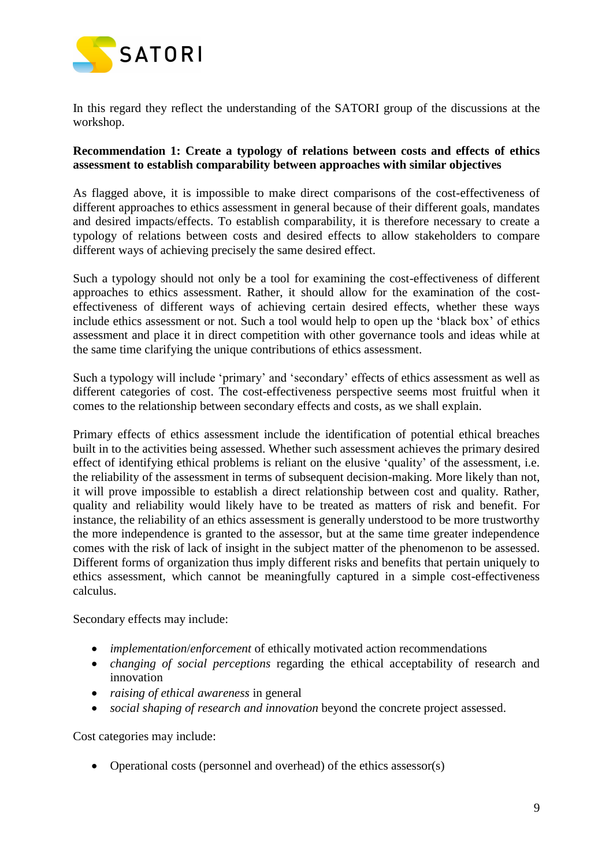

In this regard they reflect the understanding of the SATORI group of the discussions at the workshop.

#### **Recommendation 1: Create a typology of relations between costs and effects of ethics assessment to establish comparability between approaches with similar objectives**

As flagged above, it is impossible to make direct comparisons of the cost-effectiveness of different approaches to ethics assessment in general because of their different goals, mandates and desired impacts/effects. To establish comparability, it is therefore necessary to create a typology of relations between costs and desired effects to allow stakeholders to compare different ways of achieving precisely the same desired effect.

Such a typology should not only be a tool for examining the cost-effectiveness of different approaches to ethics assessment. Rather, it should allow for the examination of the costeffectiveness of different ways of achieving certain desired effects, whether these ways include ethics assessment or not. Such a tool would help to open up the 'black box' of ethics assessment and place it in direct competition with other governance tools and ideas while at the same time clarifying the unique contributions of ethics assessment.

Such a typology will include 'primary' and 'secondary' effects of ethics assessment as well as different categories of cost. The cost-effectiveness perspective seems most fruitful when it comes to the relationship between secondary effects and costs, as we shall explain.

Primary effects of ethics assessment include the identification of potential ethical breaches built in to the activities being assessed. Whether such assessment achieves the primary desired effect of identifying ethical problems is reliant on the elusive 'quality' of the assessment, i.e. the reliability of the assessment in terms of subsequent decision-making. More likely than not, it will prove impossible to establish a direct relationship between cost and quality. Rather, quality and reliability would likely have to be treated as matters of risk and benefit. For instance, the reliability of an ethics assessment is generally understood to be more trustworthy the more independence is granted to the assessor, but at the same time greater independence comes with the risk of lack of insight in the subject matter of the phenomenon to be assessed. Different forms of organization thus imply different risks and benefits that pertain uniquely to ethics assessment, which cannot be meaningfully captured in a simple cost-effectiveness calculus.

Secondary effects may include:

- *implementation*/*enforcement* of ethically motivated action recommendations
- *changing of social perceptions* regarding the ethical acceptability of research and innovation
- *raising of ethical awareness* in general
- *social shaping of research and innovation* beyond the concrete project assessed.

Cost categories may include:

• Operational costs (personnel and overhead) of the ethics assessor(s)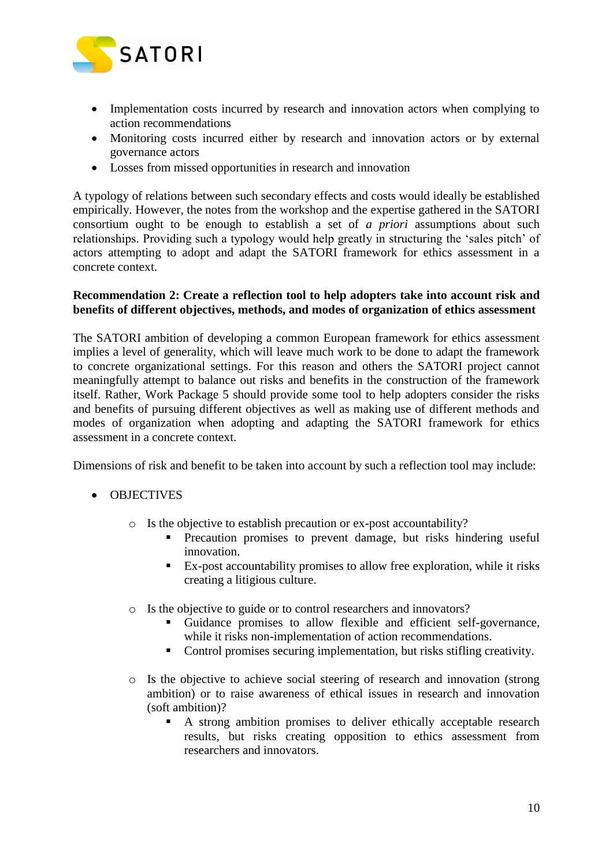

- Implementation costs incurred by research and innovation actors when complying to action recommendations
- Monitoring costs incurred either by research and innovation actors or by external governance actors
- Losses from missed opportunities in research and innovation

A typology of relations between such secondary effects and costs would ideally be established empirically. However, the notes from the workshop and the expertise gathered in the SATORI consortium ought to be enough to establish a set of *a priori* assumptions about such relationships. Providing such a typology would help greatly in structuring the 'sales pitch' of actors attempting to adopt and adapt the SATORI framework for ethics assessment in a concrete context.

#### **Recommendation 2: Create a reflection tool to help adopters take into account risk and benefits of different objectives, methods, and modes of organization of ethics assessment**

The SATORI ambition of developing a common European framework for ethics assessment implies a level of generality, which will leave much work to be done to adapt the framework to concrete organizational settings. For this reason and others the SATORI project cannot meaningfully attempt to balance out risks and benefits in the construction of the framework itself. Rather, Work Package 5 should provide some tool to help adopters consider the risks and benefits of pursuing different objectives as well as making use of different methods and modes of organization when adopting and adapting the SATORI framework for ethics assessment in a concrete context.

Dimensions of risk and benefit to be taken into account by such a reflection tool may include:

- OBJECTIVES
	- o Is the objective to establish precaution or ex-post accountability?
		- **Precaution promises to prevent damage, but risks hindering useful** innovation.
		- Ex-post accountability promises to allow free exploration, while it risks creating a litigious culture.
	- o Is the objective to guide or to control researchers and innovators?
		- Guidance promises to allow flexible and efficient self-governance, while it risks non-implementation of action recommendations.
		- Control promises securing implementation, but risks stifling creativity.
	- o Is the objective to achieve social steering of research and innovation (strong ambition) or to raise awareness of ethical issues in research and innovation (soft ambition)?
		- A strong ambition promises to deliver ethically acceptable research results, but risks creating opposition to ethics assessment from researchers and innovators.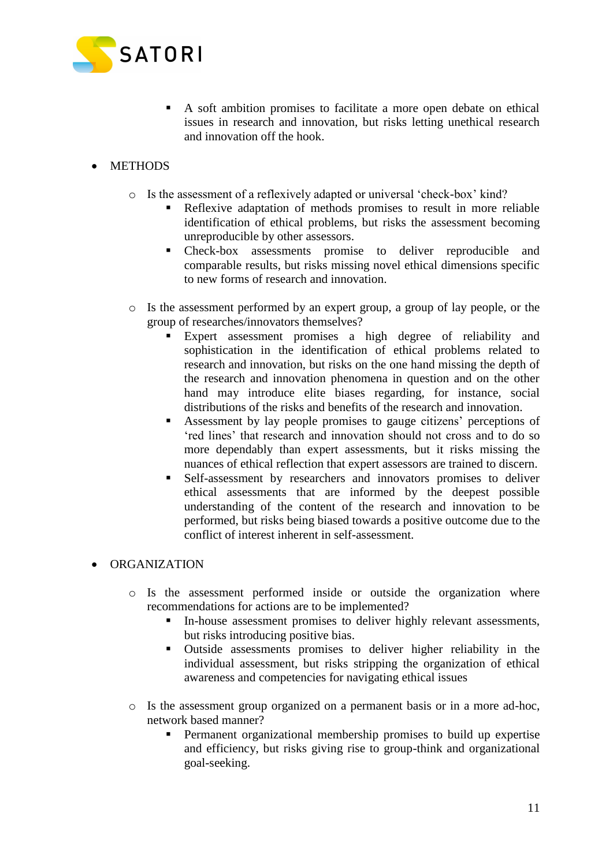

- A soft ambition promises to facilitate a more open debate on ethical issues in research and innovation, but risks letting unethical research and innovation off the hook.
- METHODS
	- o Is the assessment of a reflexively adapted or universal 'check-box' kind?
		- Reflexive adaptation of methods promises to result in more reliable identification of ethical problems, but risks the assessment becoming unreproducible by other assessors.
		- Check-box assessments promise to deliver reproducible and comparable results, but risks missing novel ethical dimensions specific to new forms of research and innovation.
	- o Is the assessment performed by an expert group, a group of lay people, or the group of researches/innovators themselves?
		- Expert assessment promises a high degree of reliability and sophistication in the identification of ethical problems related to research and innovation, but risks on the one hand missing the depth of the research and innovation phenomena in question and on the other hand may introduce elite biases regarding, for instance, social distributions of the risks and benefits of the research and innovation.
		- Assessment by lay people promises to gauge citizens' perceptions of 'red lines' that research and innovation should not cross and to do so more dependably than expert assessments, but it risks missing the nuances of ethical reflection that expert assessors are trained to discern.
		- Self-assessment by researchers and innovators promises to deliver ethical assessments that are informed by the deepest possible understanding of the content of the research and innovation to be performed, but risks being biased towards a positive outcome due to the conflict of interest inherent in self-assessment.

#### • ORGANIZATION

- o Is the assessment performed inside or outside the organization where recommendations for actions are to be implemented?
	- In-house assessment promises to deliver highly relevant assessments, but risks introducing positive bias.
	- Outside assessments promises to deliver higher reliability in the individual assessment, but risks stripping the organization of ethical awareness and competencies for navigating ethical issues
- o Is the assessment group organized on a permanent basis or in a more ad-hoc, network based manner?
	- Permanent organizational membership promises to build up expertise and efficiency, but risks giving rise to group-think and organizational goal-seeking.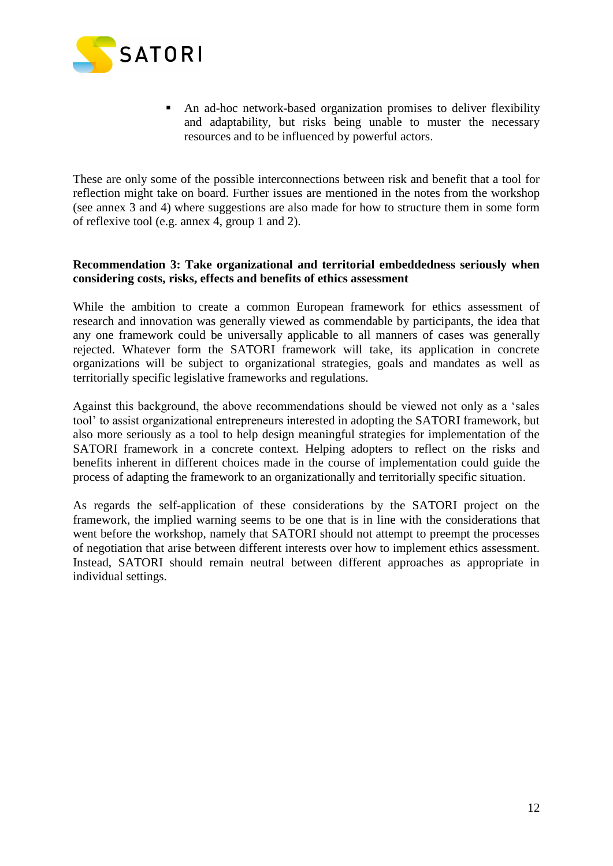

 An ad-hoc network-based organization promises to deliver flexibility and adaptability, but risks being unable to muster the necessary resources and to be influenced by powerful actors.

These are only some of the possible interconnections between risk and benefit that a tool for reflection might take on board. Further issues are mentioned in the notes from the workshop (see annex 3 and 4) where suggestions are also made for how to structure them in some form of reflexive tool (e.g. annex 4, group 1 and 2).

#### **Recommendation 3: Take organizational and territorial embeddedness seriously when considering costs, risks, effects and benefits of ethics assessment**

While the ambition to create a common European framework for ethics assessment of research and innovation was generally viewed as commendable by participants, the idea that any one framework could be universally applicable to all manners of cases was generally rejected. Whatever form the SATORI framework will take, its application in concrete organizations will be subject to organizational strategies, goals and mandates as well as territorially specific legislative frameworks and regulations.

Against this background, the above recommendations should be viewed not only as a 'sales tool' to assist organizational entrepreneurs interested in adopting the SATORI framework, but also more seriously as a tool to help design meaningful strategies for implementation of the SATORI framework in a concrete context. Helping adopters to reflect on the risks and benefits inherent in different choices made in the course of implementation could guide the process of adapting the framework to an organizationally and territorially specific situation.

As regards the self-application of these considerations by the SATORI project on the framework, the implied warning seems to be one that is in line with the considerations that went before the workshop, namely that SATORI should not attempt to preempt the processes of negotiation that arise between different interests over how to implement ethics assessment. Instead, SATORI should remain neutral between different approaches as appropriate in individual settings.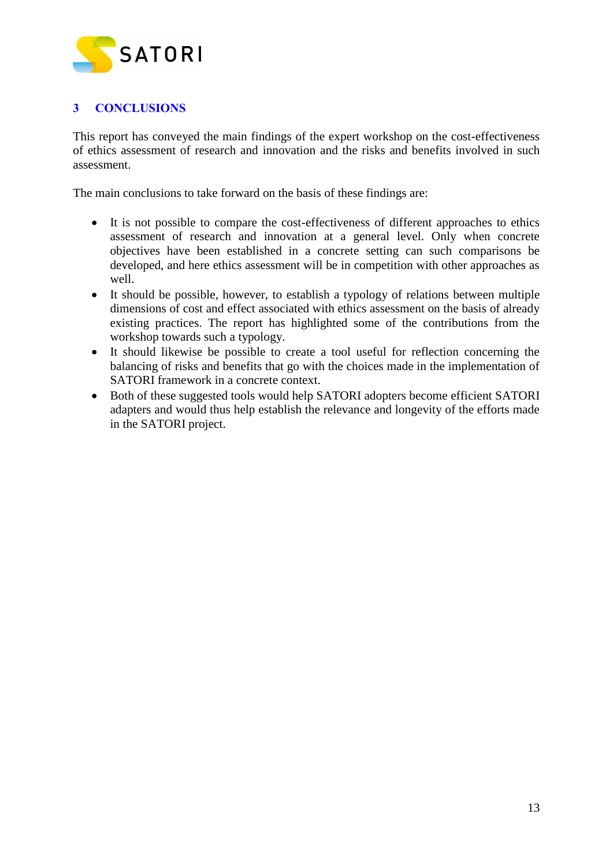

# <span id="page-12-0"></span>**3 CONCLUSIONS**

This report has conveyed the main findings of the expert workshop on the cost-effectiveness of ethics assessment of research and innovation and the risks and benefits involved in such assessment.

The main conclusions to take forward on the basis of these findings are:

- It is not possible to compare the cost-effectiveness of different approaches to ethics assessment of research and innovation at a general level. Only when concrete objectives have been established in a concrete setting can such comparisons be developed, and here ethics assessment will be in competition with other approaches as well.
- It should be possible, however, to establish a typology of relations between multiple dimensions of cost and effect associated with ethics assessment on the basis of already existing practices. The report has highlighted some of the contributions from the workshop towards such a typology.
- It should likewise be possible to create a tool useful for reflection concerning the balancing of risks and benefits that go with the choices made in the implementation of SATORI framework in a concrete context.
- Both of these suggested tools would help SATORI adopters become efficient SATORI adapters and would thus help establish the relevance and longevity of the efforts made in the SATORI project.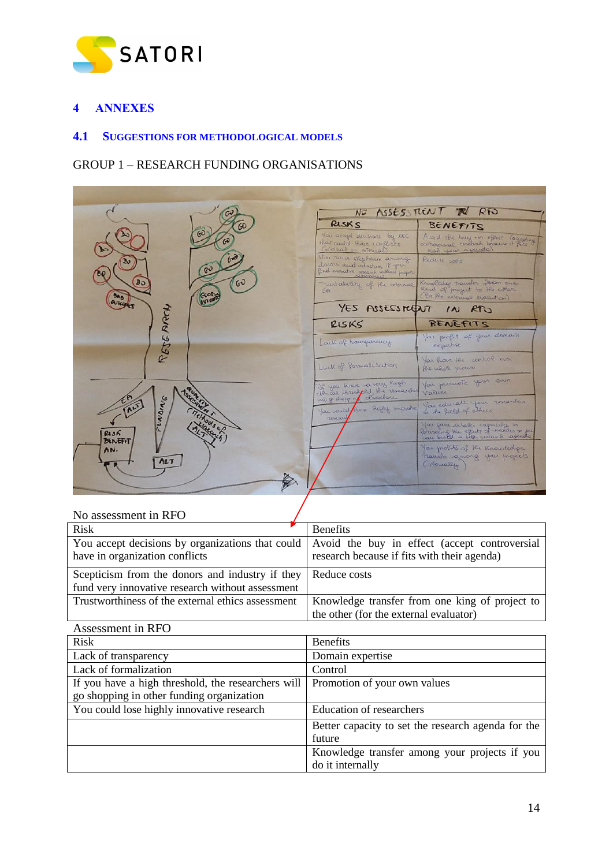

# <span id="page-13-0"></span>**4 ANNEXES**

#### <span id="page-13-1"></span>**4.1 SUGGESTIONS FOR METHODOLOGICAL MODELS**

## GROUP 1 – RESEARCH FUNDING ORGANISATIONS



| No assessment in RFO                               |                                                    |
|----------------------------------------------------|----------------------------------------------------|
| <b>Risk</b>                                        | <b>Benefits</b>                                    |
| You accept decisions by organizations that could   | Avoid the buy in effect (accept controversial      |
| have in organization conflicts                     | research because if fits with their agenda)        |
| Scepticism from the donors and industry if they    | Reduce costs                                       |
| fund very innovative research without assessment   |                                                    |
| Trustworthiness of the external ethics assessment  | Knowledge transfer from one king of project to     |
|                                                    | the other (for the external evaluator)             |
| Assessment in RFO                                  |                                                    |
| Risk                                               | <b>Benefits</b>                                    |
| Lack of transparency                               | Domain expertise                                   |
| Lack of formalization                              | Control                                            |
| If you have a high threshold, the researchers will | Promotion of your own values                       |
| go shopping in other funding organization          |                                                    |
| You could lose highly innovative research          | <b>Education of researchers</b>                    |
|                                                    | Better capacity to set the research agenda for the |
|                                                    | future                                             |
|                                                    | Knowledge transfer among your projects if you      |
|                                                    | do it internally                                   |

14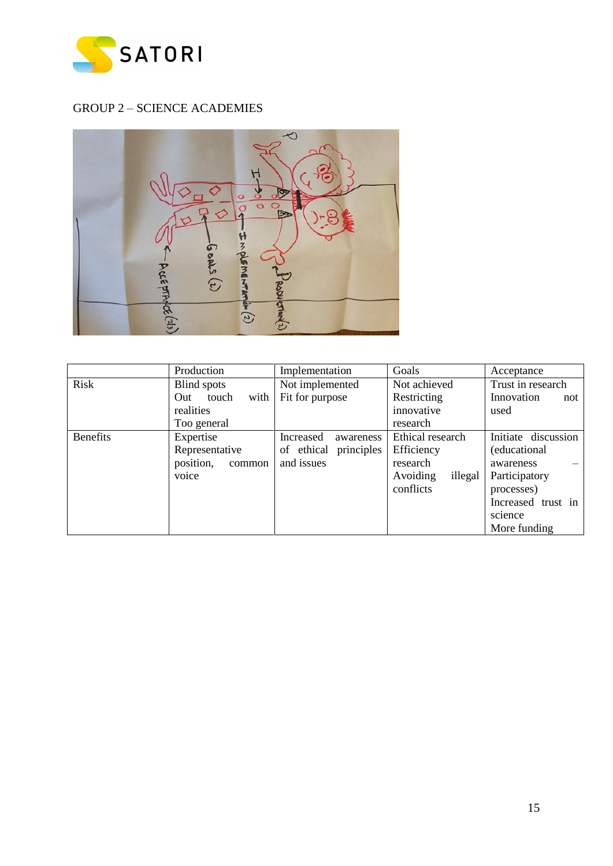

# GROUP 2 – SCIENCE ACADEMIES



|                 | Production           | Implementation         | Goals               | Acceptance          |
|-----------------|----------------------|------------------------|---------------------|---------------------|
| Risk            | Blind spots          | Not implemented        | Not achieved        | Trust in research   |
|                 | touch<br>with<br>Out | Fit for purpose        | Restricting         | Innovation<br>not   |
|                 | realities            |                        | innovative          | used                |
|                 | Too general          |                        | research            |                     |
| <b>Benefits</b> | Expertise            | Increased<br>awareness | Ethical research    | Initiate discussion |
|                 | Representative       | of ethical principles  | Efficiency          | (educational        |
|                 | position,<br>common  | and issues             | research            | awareness           |
|                 | voice                |                        | illegal<br>Avoiding | Participatory       |
|                 |                      |                        | conflicts           | processes)          |
|                 |                      |                        |                     | Increased trust in  |
|                 |                      |                        |                     | science             |
|                 |                      |                        |                     | More funding        |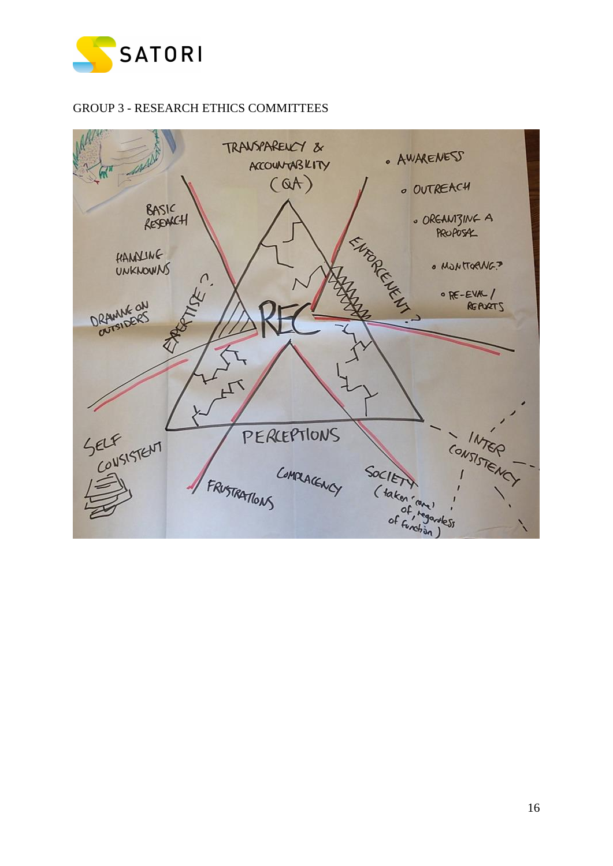

## GROUP 3 - RESEARCH ETHICS COMMITTEES

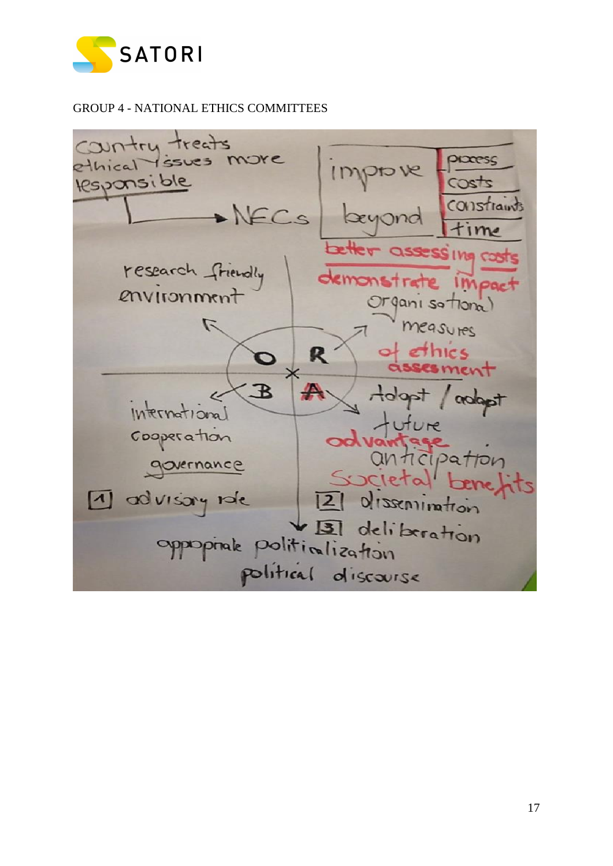

GROUP 4 - NATIONAL ETHICS COMMITTEES

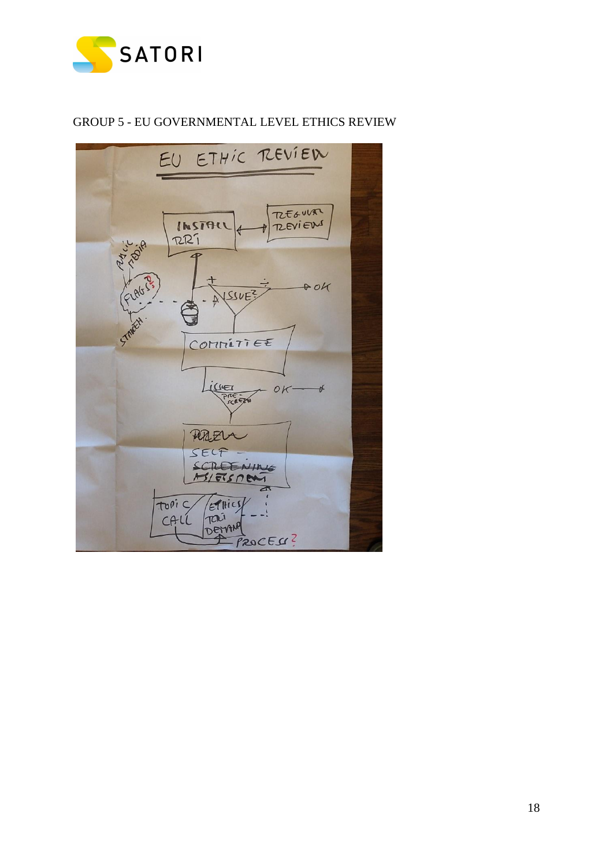

## GROUP 5 - EU GOVERNMENTAL LEVEL ETHICS REVIEW

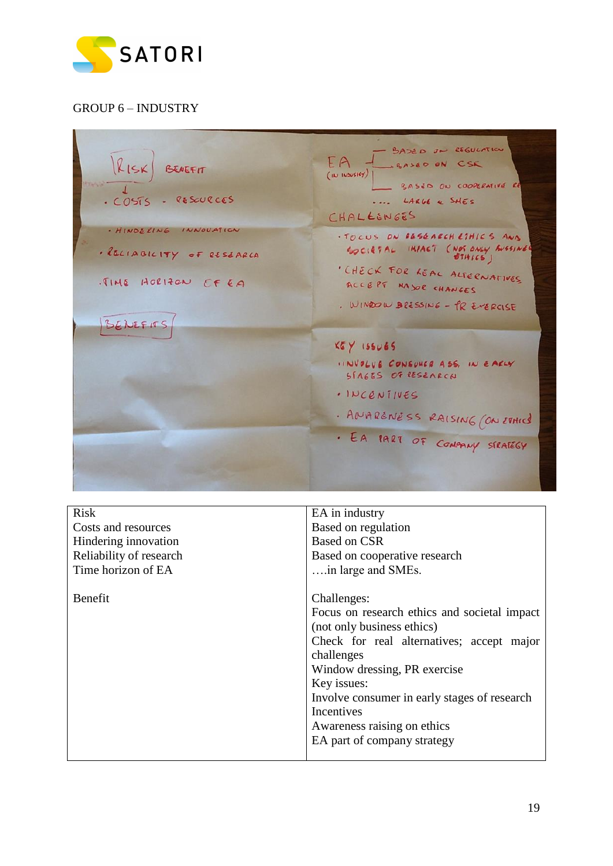

# GROUP 6 – INDUSTRY

| $ k $ ISK BENEFIT<br>COSTS - RESOURCES                                   | - BASED ON REGULATION<br>EA JUSASED ON CSK<br>$ $ ( IN INSUSTEY)  <br>- BASED ON COOPERATIVE RE<br>LARGE & SHES<br>CHALLENGES |
|--------------------------------------------------------------------------|-------------------------------------------------------------------------------------------------------------------------------|
| - HINDERING INNOUATION<br>. RELIABILITY OF RESEARCH<br>TIME HORIZON CFEA | · FOCUS ON BESEARCH ETHICS AND<br>SOCIETAL IMPACT (NOT ONLY BUSSINES<br>· CHECK FOR REAL ALTERNATIVES<br>ACCEPT MAJOR CHANGES |
| BENEFITS                                                                 | . WINDOW BRESSING - PR EXERCISE<br>$KgY$ 155065                                                                               |
|                                                                          | IINVOLUE CONSUMER ASS, IN EARLY<br>STAGES OF RESEARCH<br>. INCENTIVES<br>. ANARENESS RAISING (ON ETHICS                       |
|                                                                          | . EA PART OF COMPANY STRATEGY                                                                                                 |

| <b>Risk</b>             | EA in industry                               |
|-------------------------|----------------------------------------------|
| Costs and resources     | Based on regulation                          |
| Hindering innovation    | <b>Based on CSR</b>                          |
| Reliability of research | Based on cooperative research                |
| Time horizon of EA      | in large and SMEs.                           |
|                         |                                              |
| Benefit                 | Challenges:                                  |
|                         | Focus on research ethics and societal impact |
|                         | (not only business ethics)                   |
|                         | Check for real alternatives; accept major    |
|                         | challenges                                   |
|                         | Window dressing, PR exercise                 |
|                         | Key issues:                                  |
|                         | Involve consumer in early stages of research |
|                         | Incentives                                   |
|                         | Awareness raising on ethics                  |
|                         | EA part of company strategy                  |
|                         |                                              |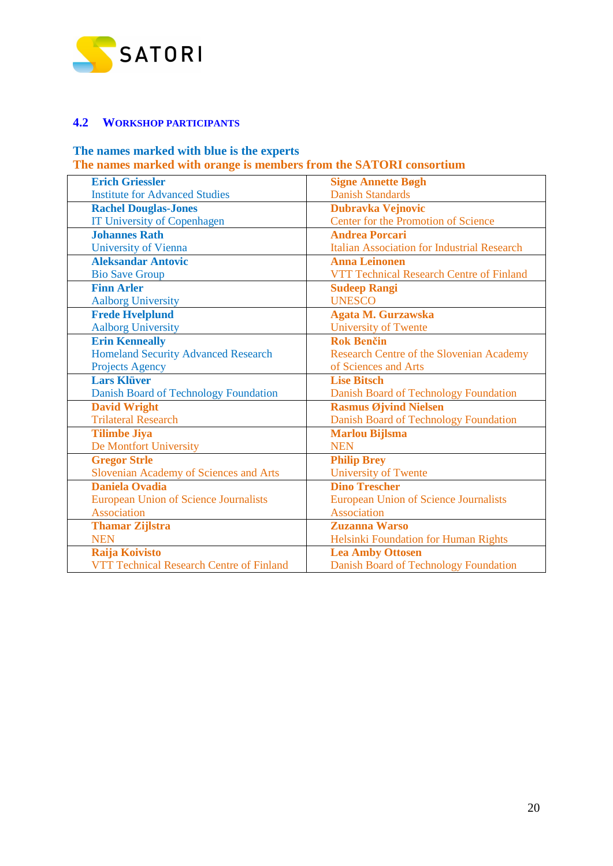

### <span id="page-19-0"></span>**4.2 WORKSHOP PARTICIPANTS**

## **The names marked with blue is the experts The names marked with orange is members from the SATORI consortium**

| <b>Erich Griessler</b>                       | <b>Signe Annette Bøgh</b>                          |
|----------------------------------------------|----------------------------------------------------|
| <b>Institute for Advanced Studies</b>        | <b>Danish Standards</b>                            |
| <b>Rachel Douglas-Jones</b>                  | <b>Dubravka Vejnovic</b>                           |
| <b>IT University of Copenhagen</b>           | Center for the Promotion of Science                |
| <b>Johannes Rath</b>                         | <b>Andrea Porcari</b>                              |
| <b>University of Vienna</b>                  | <b>Italian Association for Industrial Research</b> |
| <b>Aleksandar Antovic</b>                    | <b>Anna Leinonen</b>                               |
| <b>Bio Save Group</b>                        | VTT Technical Research Centre of Finland           |
| <b>Finn Arler</b>                            | <b>Sudeep Rangi</b>                                |
| <b>Aalborg University</b>                    | <b>UNESCO</b>                                      |
| <b>Frede Hvelplund</b>                       | Agata M. Gurzawska                                 |
| <b>Aalborg University</b>                    | <b>University of Twente</b>                        |
| <b>Erin Kenneally</b>                        | <b>Rok Benčin</b>                                  |
| <b>Homeland Security Advanced Research</b>   | <b>Research Centre of the Slovenian Academy</b>    |
| <b>Projects Agency</b>                       | of Sciences and Arts                               |
| <b>Lars Klüver</b>                           | <b>Lise Bitsch</b>                                 |
| Danish Board of Technology Foundation        | Danish Board of Technology Foundation              |
| <b>David Wright</b>                          | <b>Rasmus Øjvind Nielsen</b>                       |
| <b>Trilateral Research</b>                   | Danish Board of Technology Foundation              |
| <b>Tilimbe Jiya</b>                          | <b>Marlou Bijlsma</b>                              |
| De Montfort University                       | <b>NEN</b>                                         |
| <b>Gregor Strle</b>                          | <b>Philip Brey</b>                                 |
| Slovenian Academy of Sciences and Arts       | University of Twente                               |
| <b>Daniela Ovadia</b>                        | <b>Dino Trescher</b>                               |
| <b>European Union of Science Journalists</b> | <b>European Union of Science Journalists</b>       |
| Association                                  | <b>Association</b>                                 |
| <b>Thamar Zijlstra</b>                       | <b>Zuzanna Warso</b>                               |
| <b>NEN</b>                                   | Helsinki Foundation for Human Rights               |
| Raija Koivisto                               | <b>Lea Amby Ottosen</b>                            |
| VTT Technical Research Centre of Finland     | Danish Board of Technology Foundation              |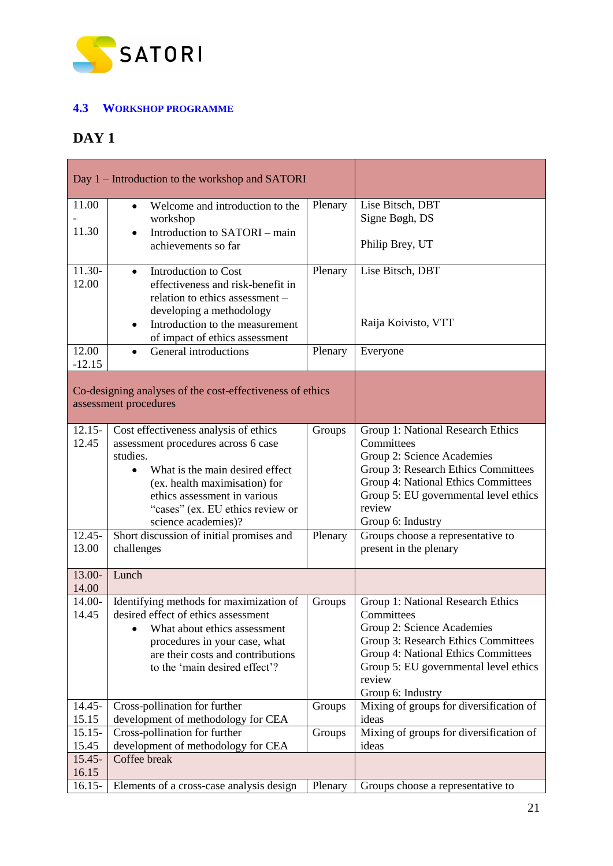

## <span id="page-20-0"></span>**4.3 WORKSHOP PROGRAMME**

# **DAY 1**

| Day 1 – Introduction to the workshop and SATORI |                                                                                    |         |                                                                            |
|-------------------------------------------------|------------------------------------------------------------------------------------|---------|----------------------------------------------------------------------------|
| 11.00                                           | Welcome and introduction to the<br>$\bullet$                                       | Plenary | Lise Bitsch, DBT                                                           |
| 11.30                                           | workshop<br>Introduction to SATORI – main<br>$\bullet$                             |         | Signe Bøgh, DS                                                             |
|                                                 | achievements so far                                                                |         | Philip Brey, UT                                                            |
| 11.30-<br>12.00                                 | Introduction to Cost<br>$\bullet$<br>effectiveness and risk-benefit in             | Plenary | Lise Bitsch, DBT                                                           |
|                                                 | relation to ethics assessment -                                                    |         |                                                                            |
|                                                 | developing a methodology                                                           |         |                                                                            |
|                                                 | Introduction to the measurement<br>$\bullet$                                       |         | Raija Koivisto, VTT                                                        |
| 12.00                                           | of impact of ethics assessment<br>General introductions<br>$\bullet$               | Plenary | Everyone                                                                   |
| $-12.15$                                        |                                                                                    |         |                                                                            |
|                                                 |                                                                                    |         |                                                                            |
|                                                 | Co-designing analyses of the cost-effectiveness of ethics<br>assessment procedures |         |                                                                            |
|                                                 |                                                                                    |         |                                                                            |
| $12.15 -$                                       | Cost effectiveness analysis of ethics                                              | Groups  | Group 1: National Research Ethics                                          |
| 12.45                                           | assessment procedures across 6 case<br>studies.                                    |         | Committees<br>Group 2: Science Academies                                   |
|                                                 | What is the main desired effect                                                    |         | Group 3: Research Ethics Committees                                        |
|                                                 | (ex. health maximisation) for                                                      |         | Group 4: National Ethics Committees                                        |
|                                                 | ethics assessment in various                                                       |         | Group 5: EU governmental level ethics                                      |
|                                                 | "cases" (ex. EU ethics review or<br>science academies)?                            |         | review<br>Group 6: Industry                                                |
| $12.45 -$                                       | Short discussion of initial promises and                                           | Plenary | Groups choose a representative to                                          |
| 13.00                                           | challenges                                                                         |         | present in the plenary                                                     |
| 13.00-                                          | Lunch                                                                              |         |                                                                            |
| 14.00                                           |                                                                                    |         |                                                                            |
| 14.00-                                          | Identifying methods for maximization of                                            | Groups  | Group 1: National Research Ethics                                          |
| 14.45                                           | desired effect of ethics assessment                                                |         | Committees                                                                 |
|                                                 | What about ethics assessment                                                       |         | Group 2: Science Academies                                                 |
|                                                 | procedures in your case, what<br>are their costs and contributions                 |         | Group 3: Research Ethics Committees<br>Group 4: National Ethics Committees |
|                                                 | to the 'main desired effect'?                                                      |         | Group 5: EU governmental level ethics                                      |
|                                                 |                                                                                    |         | review                                                                     |
|                                                 |                                                                                    |         | Group 6: Industry                                                          |
| 14.45-<br>15.15                                 | Cross-pollination for further<br>development of methodology for CEA                | Groups  | Mixing of groups for diversification of<br>ideas                           |
| $15.15-$                                        | Cross-pollination for further                                                      | Groups  | Mixing of groups for diversification of                                    |
| 15.45                                           | development of methodology for CEA                                                 |         | ideas                                                                      |
| $15.45 -$                                       | Coffee break                                                                       |         |                                                                            |
| 16.15<br>$16.15-$                               | Elements of a cross-case analysis design                                           | Plenary | Groups choose a representative to                                          |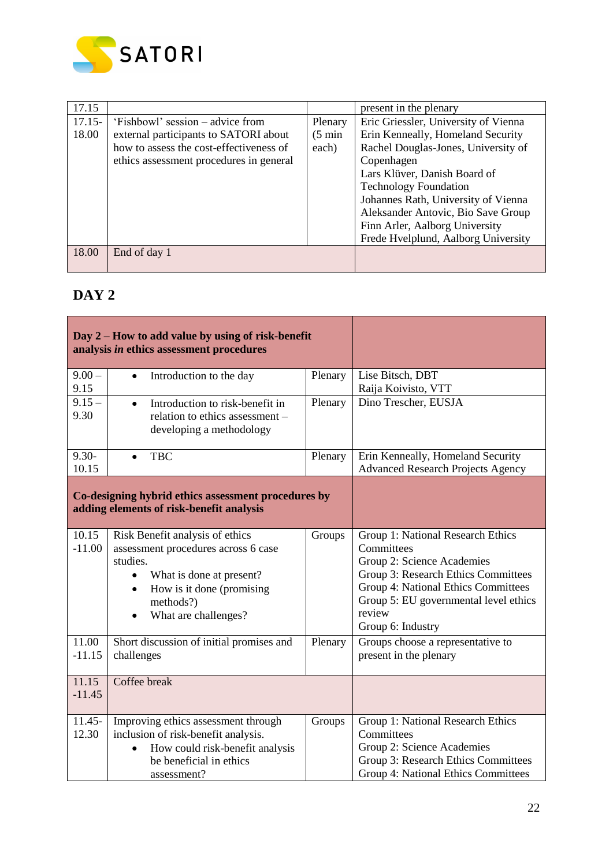

| 17.15     |                                         |                   | present in the plenary               |
|-----------|-----------------------------------------|-------------------|--------------------------------------|
| $17.15 -$ | 'Fishbowl' session – advice from        | Plenary           | Eric Griessler, University of Vienna |
| 18.00     | external participants to SATORI about   | $(5 \text{ min})$ | Erin Kenneally, Homeland Security    |
|           | how to assess the cost-effectiveness of | each)             | Rachel Douglas-Jones, University of  |
|           | ethics assessment procedures in general |                   | Copenhagen                           |
|           |                                         |                   | Lars Klüver, Danish Board of         |
|           |                                         |                   | <b>Technology Foundation</b>         |
|           |                                         |                   | Johannes Rath, University of Vienna  |
|           |                                         |                   | Aleksander Antovic, Bio Save Group   |
|           |                                         |                   | Finn Arler, Aalborg University       |
|           |                                         |                   | Frede Hvelplund, Aalborg University  |
| 18.00     | End of day 1                            |                   |                                      |
|           |                                         |                   |                                      |

# **DAY 2**

| Day 2 – How to add value by using of risk-benefit<br>analysis in ethics assessment procedures   |                                                                                                                                                                                                            |         |                                                                                                                                                                                                                                     |
|-------------------------------------------------------------------------------------------------|------------------------------------------------------------------------------------------------------------------------------------------------------------------------------------------------------------|---------|-------------------------------------------------------------------------------------------------------------------------------------------------------------------------------------------------------------------------------------|
| $9.00 -$<br>9.15                                                                                | Introduction to the day<br>$\bullet$                                                                                                                                                                       | Plenary | Lise Bitsch, DBT<br>Raija Koivisto, VTT                                                                                                                                                                                             |
| $9.15 -$<br>9.30                                                                                | Introduction to risk-benefit in<br>$\bullet$<br>relation to ethics assessment -<br>developing a methodology                                                                                                | Plenary | Dino Trescher, EUSJA                                                                                                                                                                                                                |
| $9.30 -$<br>10.15                                                                               | <b>TBC</b><br>$\bullet$                                                                                                                                                                                    | Plenary | Erin Kenneally, Homeland Security<br><b>Advanced Research Projects Agency</b>                                                                                                                                                       |
| Co-designing hybrid ethics assessment procedures by<br>adding elements of risk-benefit analysis |                                                                                                                                                                                                            |         |                                                                                                                                                                                                                                     |
| 10.15<br>$-11.00$                                                                               | Risk Benefit analysis of ethics<br>assessment procedures across 6 case<br>studies.<br>What is done at present?<br>$\bullet$<br>How is it done (promising<br>$\bullet$<br>methods?)<br>What are challenges? | Groups  | Group 1: National Research Ethics<br>Committees<br>Group 2: Science Academies<br>Group 3: Research Ethics Committees<br>Group 4: National Ethics Committees<br>Group 5: EU governmental level ethics<br>review<br>Group 6: Industry |
| 11.00<br>$-11.15$                                                                               | Short discussion of initial promises and<br>challenges                                                                                                                                                     | Plenary | Groups choose a representative to<br>present in the plenary                                                                                                                                                                         |
| 11.15<br>$-11.45$                                                                               | Coffee break                                                                                                                                                                                               |         |                                                                                                                                                                                                                                     |
| $11.45 -$<br>12.30                                                                              | Improving ethics assessment through<br>inclusion of risk-benefit analysis.<br>How could risk-benefit analysis<br>be beneficial in ethics<br>assessment?                                                    | Groups  | Group 1: National Research Ethics<br>Committees<br>Group 2: Science Academies<br>Group 3: Research Ethics Committees<br>Group 4: National Ethics Committees                                                                         |